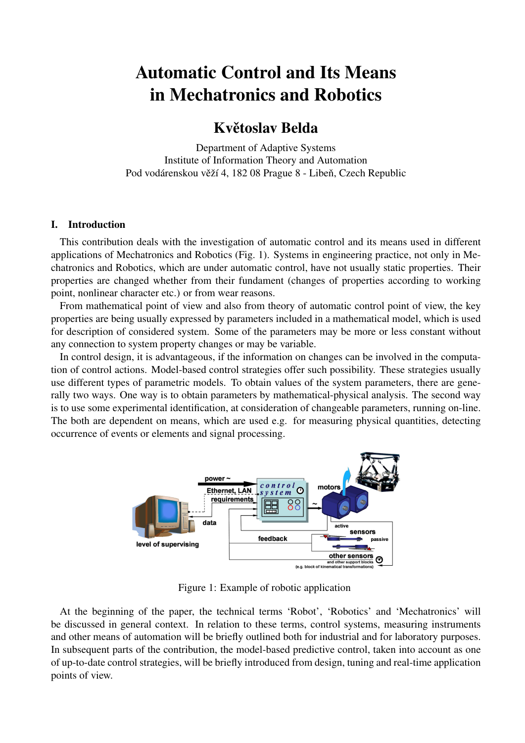# Automatic Control and Its Means in Mechatronics and Robotics

# Květoslav Belda

Department of Adaptive Systems Institute of Information Theory and Automation Pod vodárenskou věží 4, 182 08 Prague 8 - Libeň, Czech Republic

# I. Introduction

This contribution deals with the investigation of automatic control and its means used in different applications of Mechatronics and Robotics (Fig. 1). Systems in engineering practice, not only in Mechatronics and Robotics, which are under automatic control, have not usually static properties. Their properties are changed whether from their fundament (changes of properties according to working point, nonlinear character etc.) or from wear reasons.

From mathematical point of view and also from theory of automatic control point of view, the key properties are being usually expressed by parameters included in a mathematical model, which is used for description of considered system. Some of the parameters may be more or less constant without any connection to system property changes or may be variable.

In control design, it is advantageous, if the information on changes can be involved in the computation of control actions. Model-based control strategies offer such possibility. These strategies usually use different types of parametric models. To obtain values of the system parameters, there are generally two ways. One way is to obtain parameters by mathematical-physical analysis. The second way is to use some experimental identification, at consideration of changeable parameters, running on-line. The both are dependent on means, which are used e.g. for measuring physical quantities, detecting occurrence of events or elements and signal processing.



Figure 1: Example of robotic application

At the beginning of the paper, the technical terms 'Robot', 'Robotics' and 'Mechatronics' will be discussed in general context. In relation to these terms, control systems, measuring instruments and other means of automation will be briefly outlined both for industrial and for laboratory purposes. In subsequent parts of the contribution, the model-based predictive control, taken into account as one of up-to-date control strategies, will be briefly introduced from design, tuning and real-time application points of view.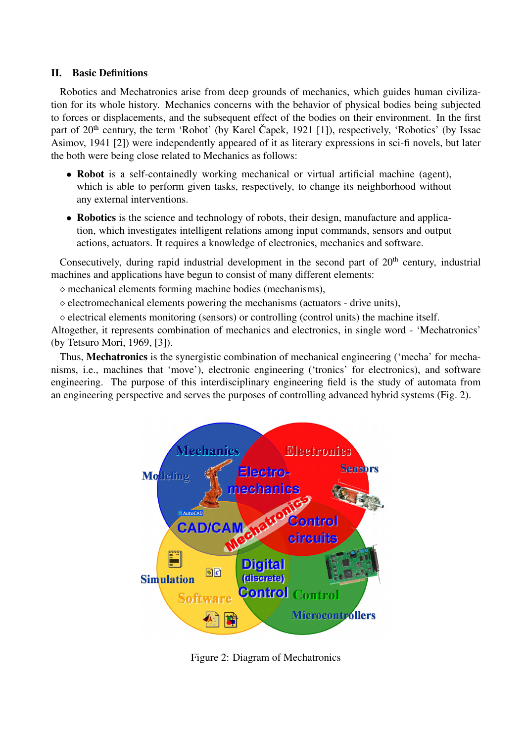# II. Basic Definitions

Robotics and Mechatronics arise from deep grounds of mechanics, which guides human civilization for its whole history. Mechanics concerns with the behavior of physical bodies being subjected to forces or displacements, and the subsequent effect of the bodies on their environment. In the first part of  $20<sup>th</sup>$  century, the term 'Robot' (by Karel Čapek, 1921 [1]), respectively, 'Robotics' (by Issac Asimov, 1941 [2]) were independently appeared of it as literary expressions in sci-fi novels, but later the both were being close related to Mechanics as follows:

- Robot is a self-containedly working mechanical or virtual artificial machine (agent), which is able to perform given tasks, respectively, to change its neighborhood without any external interventions.
- Robotics is the science and technology of robots, their design, manufacture and application, which investigates intelligent relations among input commands, sensors and output actions, actuators. It requires a knowledge of electronics, mechanics and software.

Consecutively, during rapid industrial development in the second part of  $20<sup>th</sup>$  century, industrial machines and applications have begun to consist of many different elements:

 $\diamond$  mechanical elements forming machine bodies (mechanisms),

 $\Diamond$  electromechanical elements powering the mechanisms (actuators - drive units),

 $\Diamond$  electrical elements monitoring (sensors) or controlling (control units) the machine itself.

Altogether, it represents combination of mechanics and electronics, in single word - 'Mechatronics' (by Tetsuro Mori, 1969, [3]).

Thus, Mechatronics is the synergistic combination of mechanical engineering ('mecha' for mechanisms, i.e., machines that 'move'), electronic engineering ('tronics' for electronics), and software engineering. The purpose of this interdisciplinary engineering field is the study of automata from an engineering perspective and serves the purposes of controlling advanced hybrid systems (Fig. 2).



Figure 2: Diagram of Mechatronics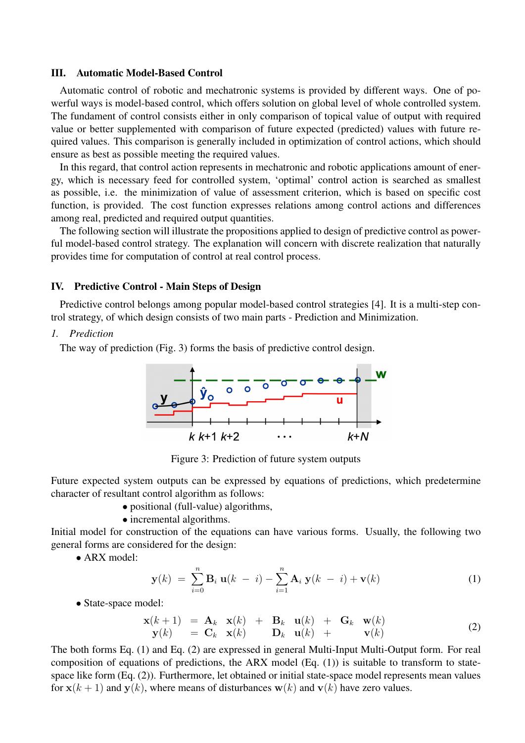#### III. Automatic Model-Based Control

Automatic control of robotic and mechatronic systems is provided by different ways. One of powerful ways is model-based control, which offers solution on global level of whole controlled system. The fundament of control consists either in only comparison of topical value of output with required value or better supplemented with comparison of future expected (predicted) values with future required values. This comparison is generally included in optimization of control actions, which should ensure as best as possible meeting the required values.

In this regard, that control action represents in mechatronic and robotic applications amount of energy, which is necessary feed for controlled system, 'optimal' control action is searched as smallest as possible, i.e. the minimization of value of assessment criterion, which is based on specific cost function, is provided. The cost function expresses relations among control actions and differences among real, predicted and required output quantities.

The following section will illustrate the propositions applied to design of predictive control as powerful model-based control strategy. The explanation will concern with discrete realization that naturally provides time for computation of control at real control process.

#### IV. Predictive Control - Main Steps of Design

Predictive control belongs among popular model-based control strategies [4]. It is a multi-step control strategy, of which design consists of two main parts - Prediction and Minimization.

### *1. Prediction*

The way of prediction (Fig. 3) forms the basis of predictive control design.



Figure 3: Prediction of future system outputs

Future expected system outputs can be expressed by equations of predictions, which predetermine character of resultant control algorithm as follows:

- positional (full-value) algorithms,
- incremental algorithms.

Initial model for construction of the equations can have various forms. Usually, the following two general forms are considered for the design:

• ARX model:

$$
\mathbf{y}(k) = \sum_{i=0}^{n} \mathbf{B}_i \mathbf{u}(k - i) - \sum_{i=1}^{n} \mathbf{A}_i \mathbf{y}(k - i) + \mathbf{v}(k)
$$
 (1)

• State-space model:

$$
\begin{array}{rcl}\n\mathbf{x}(k+1) & = & \mathbf{A}_k \quad \mathbf{x}(k) + \mathbf{B}_k \quad \mathbf{u}(k) + \mathbf{G}_k \quad \mathbf{w}(k) \\
\mathbf{y}(k) & = & \mathbf{C}_k \quad \mathbf{x}(k) + \mathbf{D}_k \quad \mathbf{u}(k) + \mathbf{v}(k)\n\end{array} \tag{2}
$$

The both forms Eq. (1) and Eq. (2) are expressed in general Multi-Input Multi-Output form. For real composition of equations of predictions, the ARX model  $(Eq. (1))$  is suitable to transform to statespace like form (Eq. (2)). Furthermore, let obtained or initial state-space model represents mean values for  $x(k + 1)$  and  $y(k)$ , where means of disturbances  $w(k)$  and  $v(k)$  have zero values.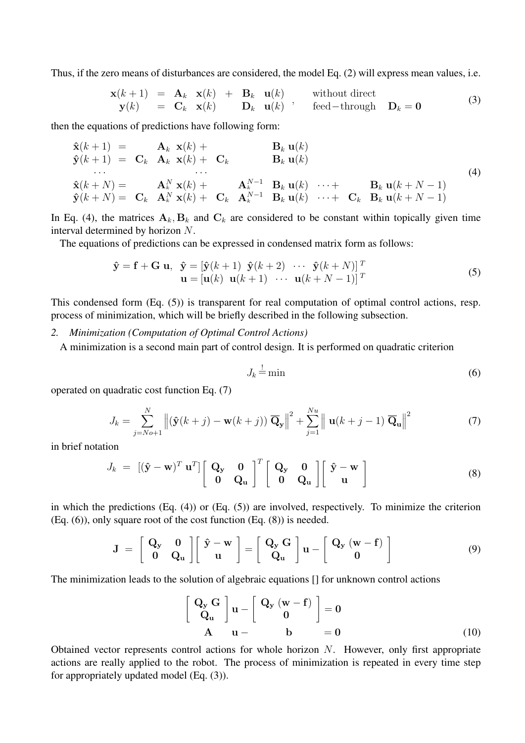Thus, if the zero means of disturbances are considered, the model Eq. (2) will express mean values, i.e.

$$
\begin{array}{rcl}\n\mathbf{x}(k+1) & = & \mathbf{A}_k \quad \mathbf{x}(k) + \mathbf{B}_k \quad \mathbf{u}(k) \\
\mathbf{y}(k) & = & \mathbf{C}_k \quad \mathbf{x}(k) + \mathbf{B}_k \quad \mathbf{u}(k) + \mathbf{B}_k \quad \mathbf{u}(k) + \mathbf{B}_k \\
\mathbf{y}(k) & = & \mathbf{C}_k \quad \mathbf{x}(k) + \mathbf{B}_k \quad \mathbf{u}(k) + \mathbf{B}_k \quad \text{fied–through} \quad \mathbf{D}_k = \mathbf{0}\n\end{array} \tag{3}
$$

then the equations of predictions have following form:

$$
\hat{\mathbf{x}}(k+1) = \mathbf{C}_k \mathbf{A}_k \mathbf{x}(k) + \mathbf{C}_k \mathbf{B}_k \mathbf{u}(k) \n\vdots \n\hat{\mathbf{x}}(k+N) = \mathbf{C}_k \mathbf{A}_k^N \mathbf{x}(k) + \mathbf{C}_k \mathbf{A}_k^{N-1} \mathbf{B}_k \mathbf{u}(k) \cdots + \mathbf{B}_k \mathbf{u}(k+N-1) \n\hat{\mathbf{y}}(k+N) = \mathbf{C}_k \mathbf{A}_k^N \mathbf{x}(k) + \mathbf{C}_k \mathbf{A}_k^{N-1} \mathbf{B}_k \mathbf{u}(k) \cdots + \mathbf{C}_k \mathbf{B}_k \mathbf{u}(k+N-1)
$$
\n(4)

In Eq. (4), the matrices  $A_k$ ,  $B_k$  and  $C_k$  are considered to be constant within topically given time interval determined by horizon N.

The equations of predictions can be expressed in condensed matrix form as follows:

$$
\hat{\mathbf{y}} = \mathbf{f} + \mathbf{G} \mathbf{u}, \quad \hat{\mathbf{y}} = \begin{bmatrix} \hat{\mathbf{y}}(k+1) & \hat{\mathbf{y}}(k+2) & \cdots & \hat{\mathbf{y}}(k+N) \end{bmatrix}^T \mathbf{u} = \begin{bmatrix} \mathbf{u}(k) & \mathbf{u}(k+1) & \cdots & \mathbf{u}(k+N-1) \end{bmatrix}^T
$$
\n(5)

This condensed form (Eq. (5)) is transparent for real computation of optimal control actions, resp. process of minimization, which will be briefly described in the following subsection.

*2. Minimization (Computation of Optimal Control Actions)*

A minimization is a second main part of control design. It is performed on quadratic criterion

$$
J_k \stackrel{!}{=} \min \tag{6}
$$

operated on quadratic cost function Eq. (7)

$$
J_k = \sum_{j=No+1}^{N} \left\| (\hat{\mathbf{y}}(k+j) - \mathbf{w}(k+j)) \overline{\mathbf{Q}}_{\mathbf{y}} \right\|^2 + \sum_{j=1}^{Nu} \left\| \mathbf{u}(k+j-1) \overline{\mathbf{Q}}_{\mathbf{u}} \right\|^2 \tag{7}
$$

in brief notation

$$
J_k = [(\hat{\mathbf{y}} - \mathbf{w})^T \mathbf{u}^T] \begin{bmatrix} \mathbf{Q}_y & \mathbf{0} \\ \mathbf{0} & \mathbf{Q}_u \end{bmatrix}^T \begin{bmatrix} \mathbf{Q}_y & \mathbf{0} \\ \mathbf{0} & \mathbf{Q}_u \end{bmatrix} \begin{bmatrix} \hat{\mathbf{y}} - \mathbf{w} \\ \mathbf{u} \end{bmatrix}
$$
(8)

in which the predictions (Eq. (4)) or (Eq. (5)) are involved, respectively. To minimize the criterion (Eq. (6)), only square root of the cost function (Eq. (8)) is needed.

$$
\mathbf{J} = \begin{bmatrix} \mathbf{Q}_{\mathbf{y}} & \mathbf{0} \\ \mathbf{0} & \mathbf{Q}_{\mathbf{u}} \end{bmatrix} \begin{bmatrix} \hat{\mathbf{y}} - \mathbf{w} \\ \mathbf{u} \end{bmatrix} = \begin{bmatrix} \mathbf{Q}_{\mathbf{y}} \mathbf{G} \\ \mathbf{Q}_{\mathbf{u}} \end{bmatrix} \mathbf{u} - \begin{bmatrix} \mathbf{Q}_{\mathbf{y}} \left( \mathbf{w} - \mathbf{f} \right) \\ \mathbf{0} \end{bmatrix}
$$
(9)

The minimization leads to the solution of algebraic equations [] for unknown control actions

$$
\begin{bmatrix} \mathbf{Q}_{\mathbf{y}} \mathbf{G} \\ \mathbf{Q}_{\mathbf{u}} \end{bmatrix} \mathbf{u} - \begin{bmatrix} \mathbf{Q}_{\mathbf{y}} (\mathbf{w} - \mathbf{f}) \\ \mathbf{0} \end{bmatrix} = \mathbf{0}
$$
  
**A**  $\mathbf{u} - \mathbf{b} = \mathbf{0}$  (10)

Obtained vector represents control actions for whole horizon  $N$ . However, only first appropriate actions are really applied to the robot. The process of minimization is repeated in every time step for appropriately updated model (Eq. (3)).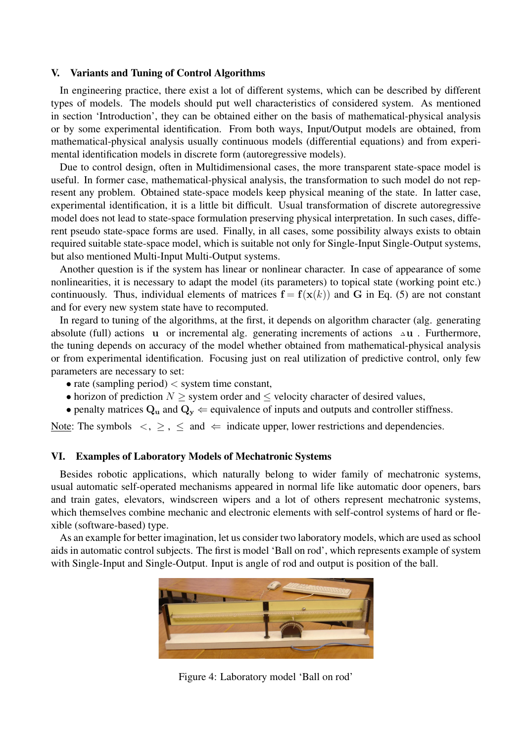#### V. Variants and Tuning of Control Algorithms

In engineering practice, there exist a lot of different systems, which can be described by different types of models. The models should put well characteristics of considered system. As mentioned in section 'Introduction', they can be obtained either on the basis of mathematical-physical analysis or by some experimental identification. From both ways, Input/Output models are obtained, from mathematical-physical analysis usually continuous models (differential equations) and from experimental identification models in discrete form (autoregressive models).

Due to control design, often in Multidimensional cases, the more transparent state-space model is useful. In former case, mathematical-physical analysis, the transformation to such model do not represent any problem. Obtained state-space models keep physical meaning of the state. In latter case, experimental identification, it is a little bit difficult. Usual transformation of discrete autoregressive model does not lead to state-space formulation preserving physical interpretation. In such cases, different pseudo state-space forms are used. Finally, in all cases, some possibility always exists to obtain required suitable state-space model, which is suitable not only for Single-Input Single-Output systems, but also mentioned Multi-Input Multi-Output systems.

Another question is if the system has linear or nonlinear character. In case of appearance of some nonlinearities, it is necessary to adapt the model (its parameters) to topical state (working point etc.) continuously. Thus, individual elements of matrices  $f = f(x(k))$  and G in Eq. (5) are not constant and for every new system state have to recomputed.

In regard to tuning of the algorithms, at the first, it depends on algorithm character (alg. generating absolute (full) actions u or incremental alg. generating increments of actions <sup>∆</sup>u . Furthermore, the tuning depends on accuracy of the model whether obtained from mathematical-physical analysis or from experimental identification. Focusing just on real utilization of predictive control, only few parameters are necessary to set:

- rate (sampling period)  $\lt$  system time constant,
- horizon of prediction  $N \geq$  system order and  $\leq$  velocity character of desired values,
- penalty matrices  $Q_u$  and  $Q_v \leftarrow$  equivalence of inputs and outputs and controller stiffness.

Note: The symbols  $\langle , \rangle$ ,  $\leq$  and  $\langle$  indicate upper, lower restrictions and dependencies.

#### VI. Examples of Laboratory Models of Mechatronic Systems

Besides robotic applications, which naturally belong to wider family of mechatronic systems, usual automatic self-operated mechanisms appeared in normal life like automatic door openers, bars and train gates, elevators, windscreen wipers and a lot of others represent mechatronic systems, which themselves combine mechanic and electronic elements with self-control systems of hard or flexible (software-based) type.

As an example for better imagination, let us consider two laboratory models, which are used as school aids in automatic control subjects. The first is model 'Ball on rod', which represents example of system with Single-Input and Single-Output. Input is angle of rod and output is position of the ball.



Figure 4: Laboratory model 'Ball on rod'